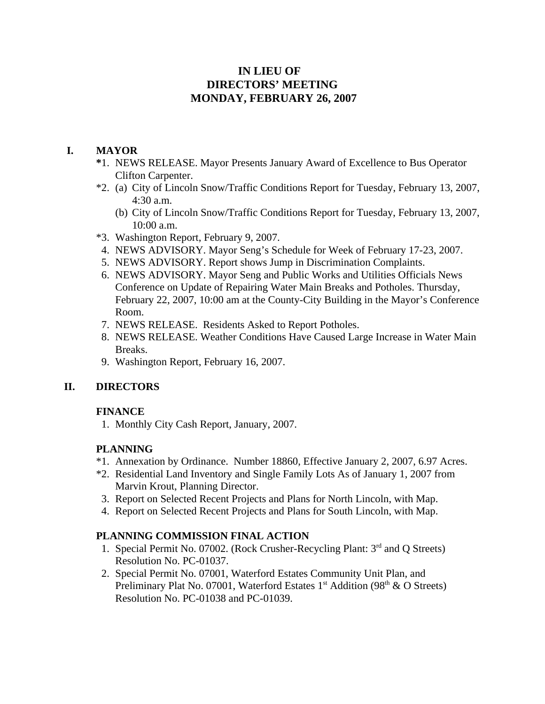# **IN LIEU OF DIRECTORS' MEETING MONDAY, FEBRUARY 26, 2007**

### **I. MAYOR**

- **\***1. NEWS RELEASE. Mayor Presents January Award of Excellence to Bus Operator Clifton Carpenter.
- \*2. (a) City of Lincoln Snow/Traffic Conditions Report for Tuesday, February 13, 2007, 4:30 a.m.
	- (b) City of Lincoln Snow/Traffic Conditions Report for Tuesday, February 13, 2007, 10:00 a.m.
- \*3. Washington Report, February 9, 2007.
- 4. NEWS ADVISORY. Mayor Seng's Schedule for Week of February 17-23, 2007.
- 5. NEWS ADVISORY. Report shows Jump in Discrimination Complaints.
- 6. NEWS ADVISORY. Mayor Seng and Public Works and Utilities Officials News Conference on Update of Repairing Water Main Breaks and Potholes. Thursday, February 22, 2007, 10:00 am at the County-City Building in the Mayor's Conference Room.
- 7. NEWS RELEASE. Residents Asked to Report Potholes.
- 8. NEWS RELEASE. Weather Conditions Have Caused Large Increase in Water Main Breaks.
- 9. Washington Report, February 16, 2007.

#### **II. DIRECTORS**

#### **FINANCE**

1. Monthly City Cash Report, January, 2007.

# **PLANNING**

- \*1. Annexation by Ordinance. Number 18860, Effective January 2, 2007, 6.97 Acres.
- \*2. Residential Land Inventory and Single Family Lots As of January 1, 2007 from Marvin Krout, Planning Director.
- 3. Report on Selected Recent Projects and Plans for North Lincoln, with Map.
- 4. Report on Selected Recent Projects and Plans for South Lincoln, with Map.

# **PLANNING COMMISSION FINAL ACTION**

- 1. Special Permit No. 07002. (Rock Crusher-Recycling Plant: 3rd and Q Streets) Resolution No. PC-01037.
- 2. Special Permit No. 07001, Waterford Estates Community Unit Plan, and Preliminary Plat No. 07001, Waterford Estates  $1<sup>st</sup>$  Addition (98<sup>th</sup> & O Streets) Resolution No. PC-01038 and PC-01039.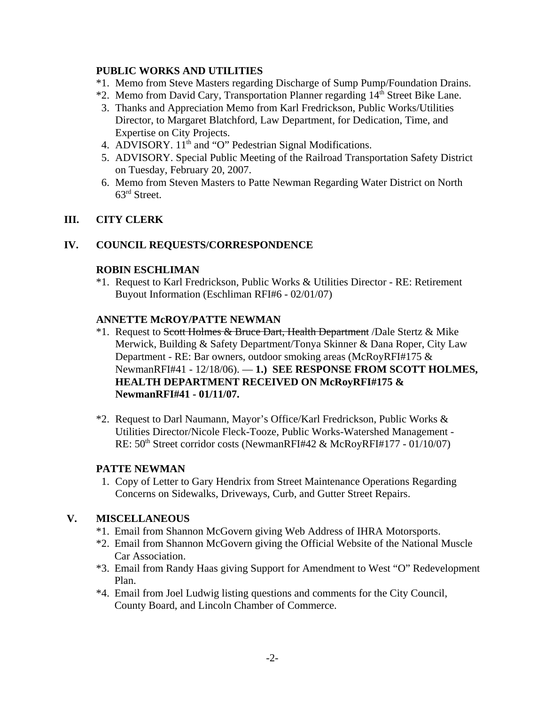#### **PUBLIC WORKS AND UTILITIES**

- \*1. Memo from Steve Masters regarding Discharge of Sump Pump/Foundation Drains.
- \*2. Memo from David Cary, Transportation Planner regarding 14<sup>th</sup> Street Bike Lane.
- 3. Thanks and Appreciation Memo from Karl Fredrickson, Public Works/Utilities Director, to Margaret Blatchford, Law Department, for Dedication, Time, and Expertise on City Projects.
- 4. ADVISORY. 11<sup>th</sup> and "O" Pedestrian Signal Modifications.
- 5. ADVISORY. Special Public Meeting of the Railroad Transportation Safety District on Tuesday, February 20, 2007.
- 6. Memo from Steven Masters to Patte Newman Regarding Water District on North 63rd Street.

# **III. CITY CLERK**

# **IV. COUNCIL REQUESTS/CORRESPONDENCE**

### **ROBIN ESCHLIMAN**

\*1. Request to Karl Fredrickson, Public Works & Utilities Director - RE: Retirement Buyout Information (Eschliman RFI#6 - 02/01/07)

### **ANNETTE McROY/PATTE NEWMAN**

- <sup>\*</sup>1. Request to Scott Holmes & Bruce Dart, Health Department /Dale Stertz & Mike Merwick, Building & Safety Department/Tonya Skinner & Dana Roper, City Law Department - RE: Bar owners, outdoor smoking areas (McRoyRFI#175 & NewmanRFI#41 - 12/18/06). — **1.) SEE RESPONSE FROM SCOTT HOLMES, HEALTH DEPARTMENT RECEIVED ON McRoyRFI#175 & NewmanRFI#41 - 01/11/07.**
- \*2. Request to Darl Naumann, Mayor's Office/Karl Fredrickson, Public Works & Utilities Director/Nicole Fleck-Tooze, Public Works-Watershed Management - RE:  $50<sup>th</sup> Street corridor costs (NewmanRFI#42 & McRoyRFI#177 - 01/10/07)$

# **PATTE NEWMAN**

 1. Copy of Letter to Gary Hendrix from Street Maintenance Operations Regarding Concerns on Sidewalks, Driveways, Curb, and Gutter Street Repairs.

# **V. MISCELLANEOUS**

- \*1. Email from Shannon McGovern giving Web Address of IHRA Motorsports.
- \*2. Email from Shannon McGovern giving the Official Website of the National Muscle Car Association.
- \*3. Email from Randy Haas giving Support for Amendment to West "O" Redevelopment Plan.
- \*4. Email from Joel Ludwig listing questions and comments for the City Council, County Board, and Lincoln Chamber of Commerce.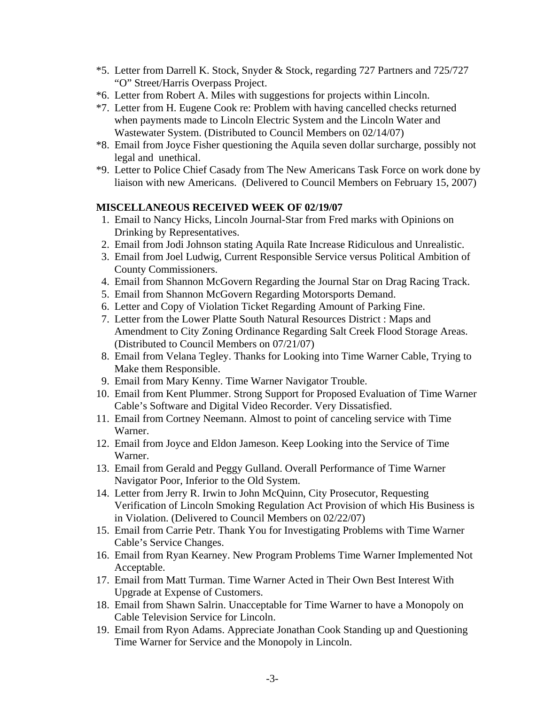- \*5. Letter from Darrell K. Stock, Snyder & Stock, regarding 727 Partners and 725/727 "O" Street/Harris Overpass Project.
- \*6. Letter from Robert A. Miles with suggestions for projects within Lincoln.
- \*7. Letter from H. Eugene Cook re: Problem with having cancelled checks returned when payments made to Lincoln Electric System and the Lincoln Water and Wastewater System. (Distributed to Council Members on 02/14/07)
- \*8. Email from Joyce Fisher questioning the Aquila seven dollar surcharge, possibly not legal and unethical.
- \*9. Letter to Police Chief Casady from The New Americans Task Force on work done by liaison with new Americans. (Delivered to Council Members on February 15, 2007)

#### **MISCELLANEOUS RECEIVED WEEK OF 02/19/07**

- 1. Email to Nancy Hicks, Lincoln Journal-Star from Fred marks with Opinions on Drinking by Representatives.
- 2. Email from Jodi Johnson stating Aquila Rate Increase Ridiculous and Unrealistic.
- 3. Email from Joel Ludwig, Current Responsible Service versus Political Ambition of County Commissioners.
- 4. Email from Shannon McGovern Regarding the Journal Star on Drag Racing Track.
- 5. Email from Shannon McGovern Regarding Motorsports Demand.
- 6. Letter and Copy of Violation Ticket Regarding Amount of Parking Fine.
- 7. Letter from the Lower Platte South Natural Resources District : Maps and Amendment to City Zoning Ordinance Regarding Salt Creek Flood Storage Areas. (Distributed to Council Members on 07/21/07)
- 8. Email from Velana Tegley. Thanks for Looking into Time Warner Cable, Trying to Make them Responsible.
- 9. Email from Mary Kenny. Time Warner Navigator Trouble.
- 10. Email from Kent Plummer. Strong Support for Proposed Evaluation of Time Warner Cable's Software and Digital Video Recorder. Very Dissatisfied.
- 11. Email from Cortney Neemann. Almost to point of canceling service with Time Warner.
- 12. Email from Joyce and Eldon Jameson. Keep Looking into the Service of Time Warner.
- 13. Email from Gerald and Peggy Gulland. Overall Performance of Time Warner Navigator Poor, Inferior to the Old System.
- 14. Letter from Jerry R. Irwin to John McQuinn, City Prosecutor, Requesting Verification of Lincoln Smoking Regulation Act Provision of which His Business is in Violation. (Delivered to Council Members on 02/22/07)
- 15. Email from Carrie Petr. Thank You for Investigating Problems with Time Warner Cable's Service Changes.
- 16. Email from Ryan Kearney. New Program Problems Time Warner Implemented Not Acceptable.
- 17. Email from Matt Turman. Time Warner Acted in Their Own Best Interest With Upgrade at Expense of Customers.
- 18. Email from Shawn Salrin. Unacceptable for Time Warner to have a Monopoly on Cable Television Service for Lincoln.
- 19. Email from Ryon Adams. Appreciate Jonathan Cook Standing up and Questioning Time Warner for Service and the Monopoly in Lincoln.